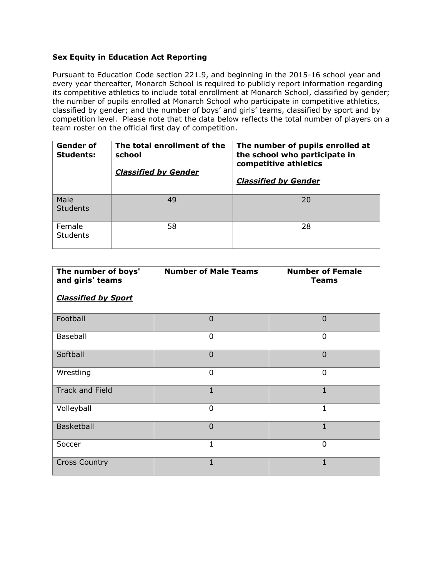## **Sex Equity in Education Act Reporting**

Pursuant to Education Code section 221.9, and beginning in the 2015-16 school year and every year thereafter, Monarch School is required to publicly report information regarding its competitive athletics to include total enrollment at Monarch School, classified by gender; the number of pupils enrolled at Monarch School who participate in competitive athletics, classified by gender; and the number of boys' and girls' teams, classified by sport and by competition level. Please note that the data below reflects the total number of players on a team roster on the official first day of competition.

| Gender of<br><b>Students:</b> | The total enrollment of the<br>school<br><b>Classified by Gender</b> | The number of pupils enrolled at<br>the school who participate in<br>competitive athletics<br><b>Classified by Gender</b> |
|-------------------------------|----------------------------------------------------------------------|---------------------------------------------------------------------------------------------------------------------------|
| Male<br><b>Students</b>       | 49                                                                   | 20                                                                                                                        |
| Female<br><b>Students</b>     | 58                                                                   | 28                                                                                                                        |

| The number of boys'<br>and girls' teams | <b>Number of Male Teams</b> | <b>Number of Female</b><br><b>Teams</b> |
|-----------------------------------------|-----------------------------|-----------------------------------------|
| <b>Classified by Sport</b>              |                             |                                         |
| Football                                | $\overline{0}$              | $\Omega$                                |
| Baseball                                | 0                           | 0                                       |
| Softball                                | $\overline{0}$              | $\overline{0}$                          |
| Wrestling                               | $\Omega$                    | $\Omega$                                |
| <b>Track and Field</b>                  | $\mathbf{1}$                | $\mathbf{1}$                            |
| Volleyball                              | 0                           | 1                                       |
| Basketball                              | $\overline{0}$              | 1                                       |
| Soccer                                  | 1                           | $\Omega$                                |
| <b>Cross Country</b>                    | $\mathbf{1}$                | $\mathbf{1}$                            |